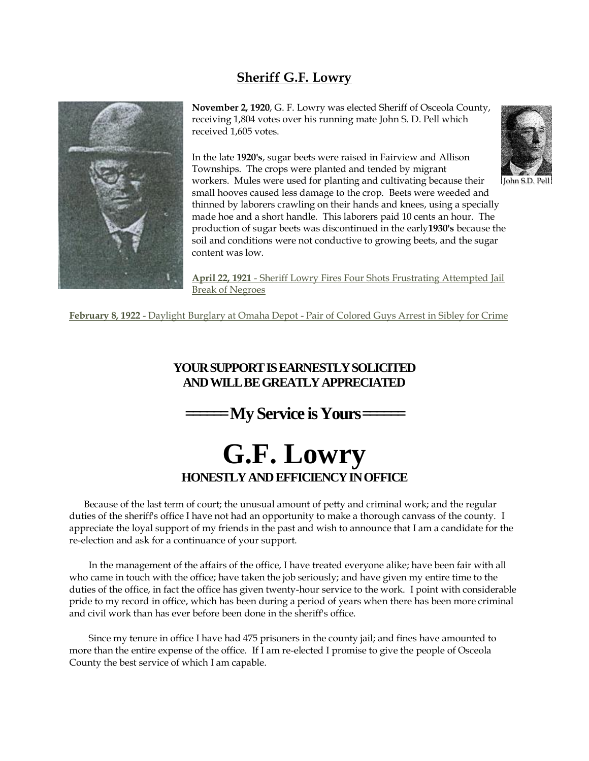## **Sheriff G.F. Lowry**



**November 2, 1920**, G. F. Lowry was elected Sheriff of Osceola County, receiving 1,804 votes over his running mate John S. D. Pell which received 1,605 votes.

In the late **1920's**, sugar beets were raised in Fairview and Allison Townships. The crops were planted and tended by migrant workers. Mules were used for planting and cultivating because their small hooves caused less damage to the crop. Beets were weeded and thinned by laborers crawling on their hands and knees, using a specially made hoe and a short handle. This laborers paid 10 cents an hour. The production of sugar beets was discontinued in the early**1930's** because the soil and conditions were not conductive to growing beets, and the sugar content was low. John S.D. Pell

**April 22, 1921** - Sheriff Lowry Fires Four Shots Frustrating Attempted Jail Break of Negroes

**February 8, 1922** - Daylight Burglary at Omaha Depot - Pair of Colored Guys Arrest in Sibley for Crime

## **YOUR SUPPORT IS EARNESTLY SOLICITED AND WILL BE GREATLY APPRECIATED**

**======My Service is Yours======**

## **G.F. Lowry HONESTLY AND EFFICIENCY IN OFFICE**

 Because of the last term of court; the unusual amount of petty and criminal work; and the regular duties of the sheriff's office I have not had an opportunity to make a thorough canvass of the county. I appreciate the loyal support of my friends in the past and wish to announce that I am a candidate for the re-election and ask for a continuance of your support.

 In the management of the affairs of the office, I have treated everyone alike; have been fair with all who came in touch with the office; have taken the job seriously; and have given my entire time to the duties of the office, in fact the office has given twenty-hour service to the work. I point with considerable pride to my record in office, which has been during a period of years when there has been more criminal and civil work than has ever before been done in the sheriff's office.

 Since my tenure in office I have had 475 prisoners in the county jail; and fines have amounted to more than the entire expense of the office. If I am re-elected I promise to give the people of Osceola County the best service of which I am capable.